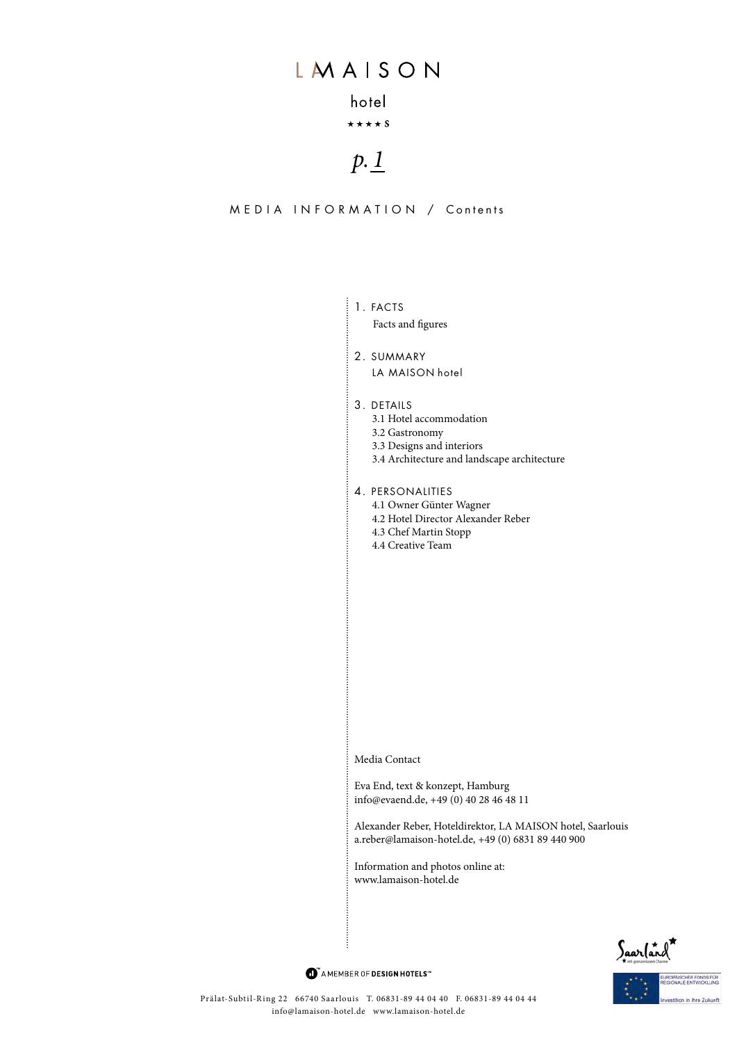### hotel

### $\star \star \star \star$  S

# $p.1$

MEDIA INFORMATION / Contents

### $\frac{1}{2}$  1. FACTS

Facts and figures

2. SUMMARY LA MAISON hotel

#### 3. DETAILS

- 3.1 Hotel accommodation
- 3.2 Gastronomy
- 3.3 Designs and interiors
- 3.4 Architecture and landscape architecture
- 4. PERSONALITIES 4.1 Owner Günter Wagner 4.2 Hotel Director Alexander Reber 4.3 Chef Martin Stopp 4.4 Creative Team

Media Contact

Eva End, text & konzept, Hamburg info@evaend.de, +49 (0) 40 28 46 48 11

Alexander Reber, Hoteldirektor, LA MAISON hotel, Saarlouis a.reber@lamaison-hotel.de, +49 (0) 6831 89 440 900

Information and photos online at: www.lamaison-hotel.de



in thre Zukunft

 $\bullet$  AMEMBER OF DESIGN HOTELS<sup>\*\*</sup>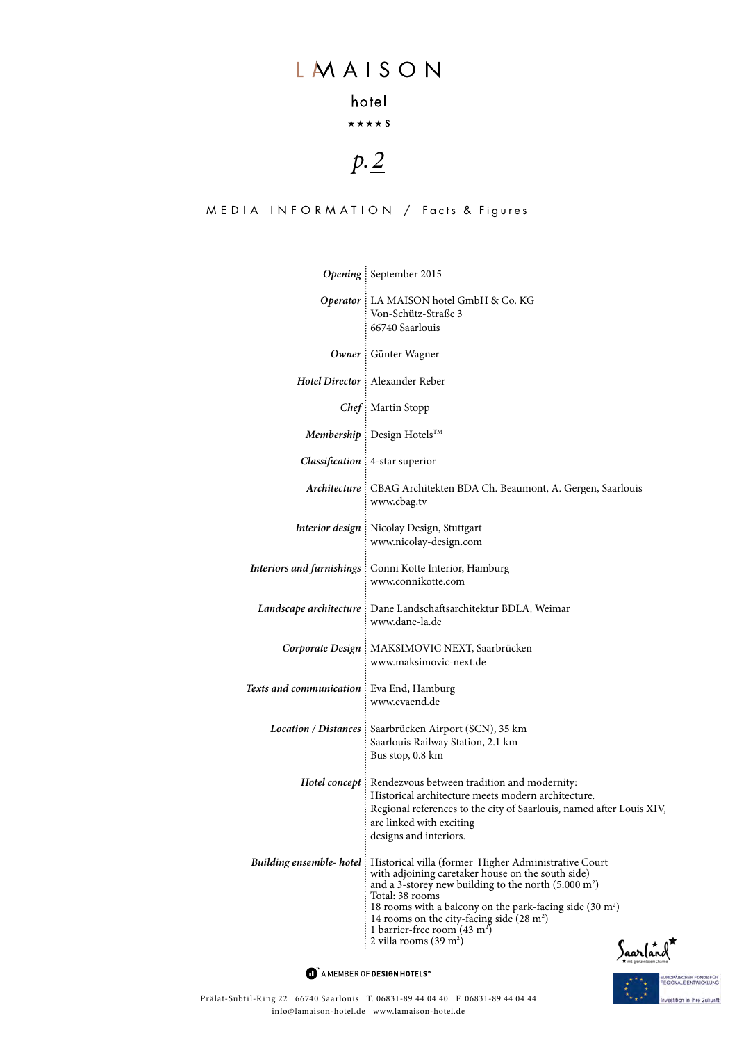# hotel

### $\star \star \star \star s$

# *p. 2*

### MEDIA INFORMATION / Facts & Figures

|                                            | Opening September 2015                                                                                                                                                                                                                                                                                                                                                                                                                                  |
|--------------------------------------------|---------------------------------------------------------------------------------------------------------------------------------------------------------------------------------------------------------------------------------------------------------------------------------------------------------------------------------------------------------------------------------------------------------------------------------------------------------|
|                                            | Operator : LA MAISON hotel GmbH & Co. KG<br>Von-Schütz-Straße 3<br>66740 Saarlouis                                                                                                                                                                                                                                                                                                                                                                      |
|                                            | Owner : Günter Wagner                                                                                                                                                                                                                                                                                                                                                                                                                                   |
|                                            | Hotel Director : Alexander Reber                                                                                                                                                                                                                                                                                                                                                                                                                        |
|                                            | Chef: Martin Stopp                                                                                                                                                                                                                                                                                                                                                                                                                                      |
|                                            | Membership : Design Hotels™                                                                                                                                                                                                                                                                                                                                                                                                                             |
|                                            | <b>Classification</b> : 4-star superior                                                                                                                                                                                                                                                                                                                                                                                                                 |
|                                            | Architecture : CBAG Architekten BDA Ch. Beaumont, A. Gergen, Saarlouis<br>www.cbag.tv                                                                                                                                                                                                                                                                                                                                                                   |
|                                            | <b>Interior design</b> : Nicolay Design, Stuttgart<br>www.nicolay-design.com                                                                                                                                                                                                                                                                                                                                                                            |
|                                            | Interiors and furnishings : Conni Kotte Interior, Hamburg<br>www.connikotte.com                                                                                                                                                                                                                                                                                                                                                                         |
|                                            | Landscape architecture : Dane Landschaftsarchitektur BDLA, Weimar<br>www.dane-la.de                                                                                                                                                                                                                                                                                                                                                                     |
|                                            | Corporate Design : MAKSIMOVIC NEXT, Saarbrücken<br>www.maksimovic-next.de                                                                                                                                                                                                                                                                                                                                                                               |
| Texts and communication : Eva End, Hamburg | www.evaend.de                                                                                                                                                                                                                                                                                                                                                                                                                                           |
|                                            | Location / Distances   Saarbrücken Airport (SCN), 35 km<br>Saarlouis Railway Station, 2.1 km<br>Bus stop, 0.8 km                                                                                                                                                                                                                                                                                                                                        |
|                                            | Hotel concept : Rendezvous between tradition and modernity:<br>Historical architecture meets modern architecture.<br>Regional references to the city of Saarlouis, named after Louis XIV,<br>are linked with exciting<br>designs and interiors.                                                                                                                                                                                                         |
|                                            | <b>Building ensemble- hotel</b> : Historical villa (former Higher Administrative Court<br>with adjoining caretaker house on the south side)<br>and a 3-storey new building to the north $(5.000 \text{ m}^2)$<br>Total: 38 rooms<br>18 rooms with a balcony on the park-facing side $(30 \text{ m}^2)$<br>14 rooms on the city-facing side $(28 \text{ m}^2)$<br>1 barrier-free room $(43 \text{ m}^2)$<br>2 villa rooms $(39 \text{ m}^2)$<br>Saarland |

 $\bullet$  AMEMBER OF DESIGN HOTELS<sup>\*\*</sup>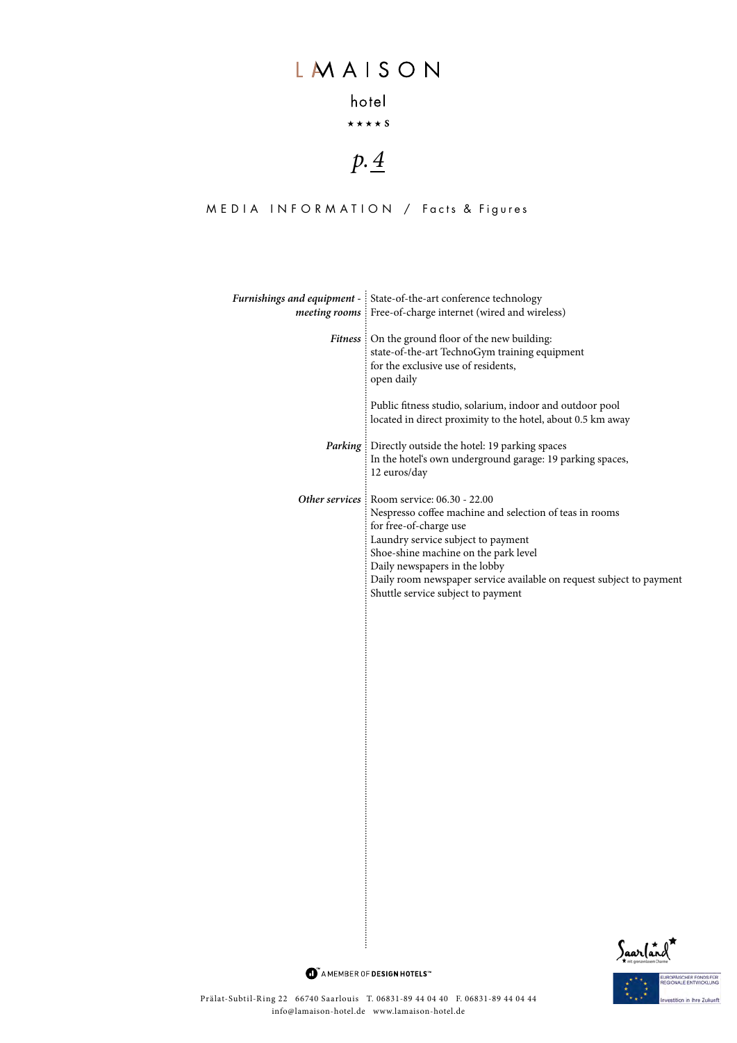## hotel

### $\star \star \star \star s$

# *p. 4*

### MEDIA INFORMATION / Facts & Figures

| Furnishings and equipment - State-of-the-art conference technology<br><i>meeting rooms</i> Free-of-charge internet (wired and wireless)                                                                                                                                                                                                                        |
|----------------------------------------------------------------------------------------------------------------------------------------------------------------------------------------------------------------------------------------------------------------------------------------------------------------------------------------------------------------|
| <i>Fitness</i> : On the ground floor of the new building:<br>state-of-the-art TechnoGym training equipment<br>for the exclusive use of residents,<br>open daily                                                                                                                                                                                                |
| Public fitness studio, solarium, indoor and outdoor pool<br>located in direct proximity to the hotel, about 0.5 km away                                                                                                                                                                                                                                        |
| <i>Parking</i> : Directly outside the hotel: 19 parking spaces<br>In the hotel's own underground garage: 19 parking spaces,<br>12 euros/day                                                                                                                                                                                                                    |
| Other services : Room service: 06.30 - 22.00<br>Nespresso coffee machine and selection of teas in rooms<br>for free-of-charge use<br>Laundry service subject to payment<br>Shoe-shine machine on the park level<br>Daily newspapers in the lobby<br>Daily room newspaper service available on request subject to payment<br>Shuttle service subject to payment |



 $\bullet$  AMEMBER OF DESIGN HOTELS<sup>\*\*</sup>

ŧ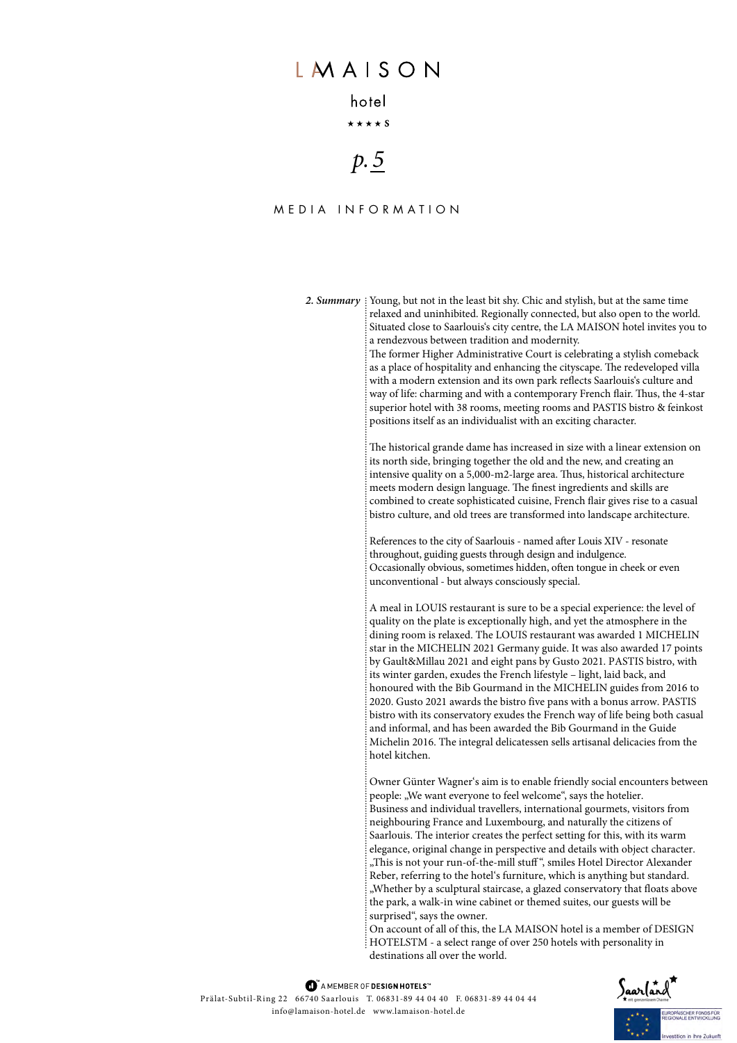### hotel

 $\star \star \star \star$  S

# *p. 5*

### Media infor m ation

2. Summary : Young, but not in the least bit shy. Chic and stylish, but at the same time relaxed and uninhibited. Regionally connected, but also open to the world. Situated close to Saarlouis's city centre, the LA MAISON hotel invites you to a rendezvous between tradition and modernity.

> The former Higher Administrative Court is celebrating a stylish comeback as a place of hospitality and enhancing the cityscape. The redeveloped villa with a modern extension and its own park reflects Saarlouis's culture and way of life: charming and with a contemporary French flair. Thus, the 4-star superior hotel with 38 rooms, meeting rooms and PASTIS bistro & feinkost positions itself as an individualist with an exciting character.

The historical grande dame has increased in size with a linear extension on its north side, bringing together the old and the new, and creating an intensive quality on a 5,000-m2-large area. Thus, historical architecture meets modern design language. The finest ingredients and skills are combined to create sophisticated cuisine, French flair gives rise to a casual bistro culture, and old trees are transformed into landscape architecture.

References to the city of Saarlouis - named after Louis XIV - resonate throughout, guiding guests through design and indulgence. Occasionally obvious, sometimes hidden, often tongue in cheek or even unconventional - but always consciously special.

A meal in LOUIS restaurant is sure to be a special experience: the level of quality on the plate is exceptionally high, and yet the atmosphere in the dining room is relaxed. The LOUIS restaurant was awarded 2 MICHELIN stars in the MICHELIN 2022 Germany guide. It was also awarded 17 points by Gault&Millau 2021 and eight pans by Gusto 2021. PASTIS bistro, with its winter garden, exudes the French lifestyle – light, laid back, and honoured with the Bib Gourmand in the MICHELIN guides from 2016 to 2020. Gusto 2021 awards the bistro five pans with a bonus arrow. PASTIS bistro with its conservatory exudes the French way of life being both casual and informal, and has been awarded the Bib Gourmand in the Guide Michelin 2016. The integral delicatessen sells artisanal delicacies from the hotel kitchen.

Owner Günter Wagner's aim is to enable friendly social encounters between people: "We want everyone to feel welcome", says the hotelier. Business and individual travellers, international gourmets, visitors from neighbouring France and Luxembourg, and naturally the citizens of Saarlouis. The interior creates the perfect setting for this, with its warm elegance, original change in perspective and details with object character. "This is not your run-of-the-mill stuff", smiles Hotel Director Alexander Reber, referring to the hotel's furniture, which is anything but standard. "Whether by a sculptural staircase, a glazed conservatory that floats above the park, a walk-in wine cabinet or themed suites, our guests will be surprised", says the owner.

On account of all of this, the LA MAISON hotel is a member of DESIGN HOTELSTM - a select range of over 250 hotels with personality in destinations all over the world.

MAMEMBER OF DESIGN HOTELS<sup>"</sup> Prälat-Subtil-Ring 22 66740 Saarlouis T. 06831-89 44 04 40 F. 06831-89 44 04 44 info@lamaison-hotel.de www.lamaison-hotel.de

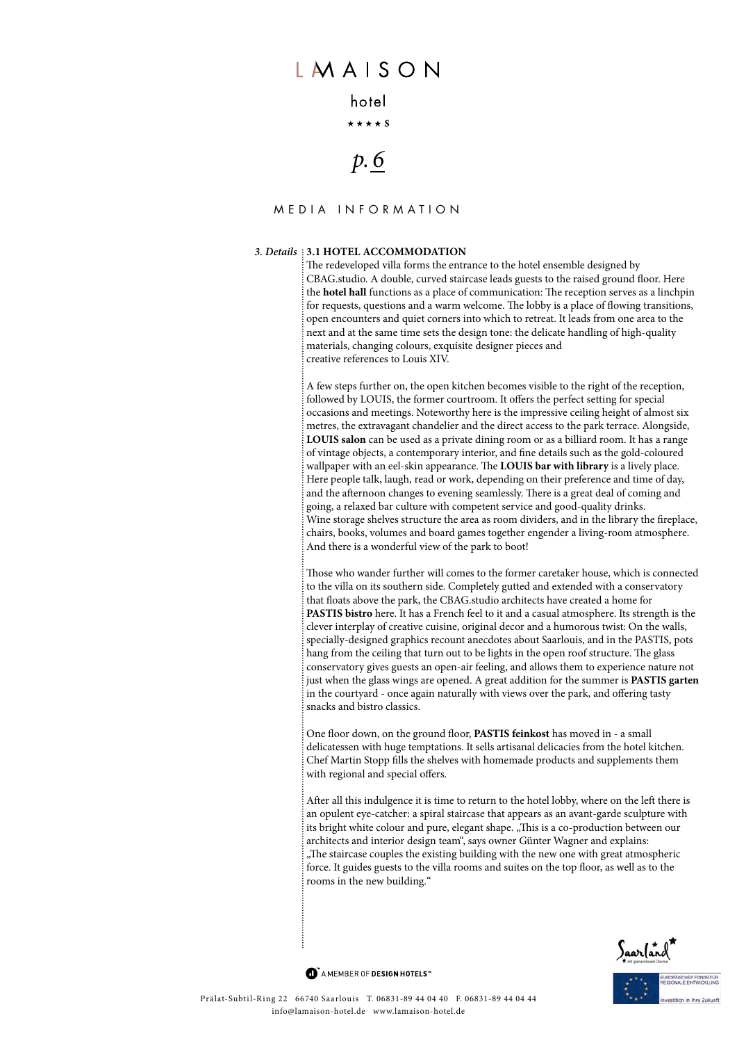### hotel

 $\star \star \star \star$  S

# *p. 6*

#### Media infor m ation

#### *3. Details* **3.1 Hotel accommodation**

The redeveloped villa forms the entrance to the hotel ensemble designed by CBAG.studio. A double, curved staircase leads guests to the raised ground floor. Here the **hotel hall** functions as a place of communication: The reception serves as a linchpin for requests, questions and a warm welcome. The lobby is a place of flowing transitions, open encounters and quiet corners into which to retreat. It leads from one area to the next and at the same time sets the design tone: the delicate handling of high-quality materials, changing colours, exquisite designer pieces and creative references to Louis XIV.

A few steps further on, the open kitchen becomes visible to the right of the reception, followed by LOUIS, the former courtroom. It offers the perfect setting for special occasions and meetings. Noteworthy here is the impressive ceiling height of almost six metres, the extravagant chandelier and the direct access to the park terrace. Alongside, **LOUIS salon** can be used as a private dining room or as a billiard room. It has a range of vintage objects, a contemporary interior, and fine details such as the gold-coloured wallpaper with an eel-skin appearance. The **LOUIS bar with library** is a lively place. Here people talk, laugh, read or work, depending on their preference and time of day, and the afternoon changes to evening seamlessly. There is a great deal of coming and going, a relaxed bar culture with competent service and good-quality drinks. Wine storage shelves structure the area as room dividers, and in the library the fireplace, chairs, books, volumes and board games together engender a living-room atmosphere. And there is a wonderful view of the park to boot!

Those who wander further will comes to the former caretaker house, which is connected to the villa on its southern side. Completely gutted and extended with a conservatory that floats above the park, the CBAG.studio architects have created a home for **Pastis bistro** here. It has a French feel to it and a casual atmosphere. Its strength is the clever interplay of creative cuisine, original decor and a humorous twist: On the walls, specially-designed graphics recount anecdotes about Saarlouis, and in the PASTIS, pots hang from the ceiling that turn out to be lights in the open roof structure. The glass conservatory gives guests an open-air feeling, and allows them to experience nature not just when the glass wings are opened. A great addition for the summer is **PASTIS garten** in the courtyard - once again naturally with views over the park, and offering tasty snacks and bistro classics.

One floor down, on the ground floor, **PASTIS feinkost** has moved in - a small delicatessen with huge temptations. It sells artisanal delicacies from the hotel kitchen. Chef Martin Stopp fills the shelves with homemade products and supplements them with regional and special offers.

After all this indulgence it is time to return to the hotel lobby, where on the left there is an opulent eye-catcher: a spiral staircase that appears as an avant-garde sculpture with its bright white colour and pure, elegant shape. "This is a co-production between our architects and interior design team", says owner Günter Wagner and explains: "The staircase couples the existing building with the new one with great atmospheric force. It guides guests to the villa rooms and suites on the top floor, as well as to the rooms in the new building."



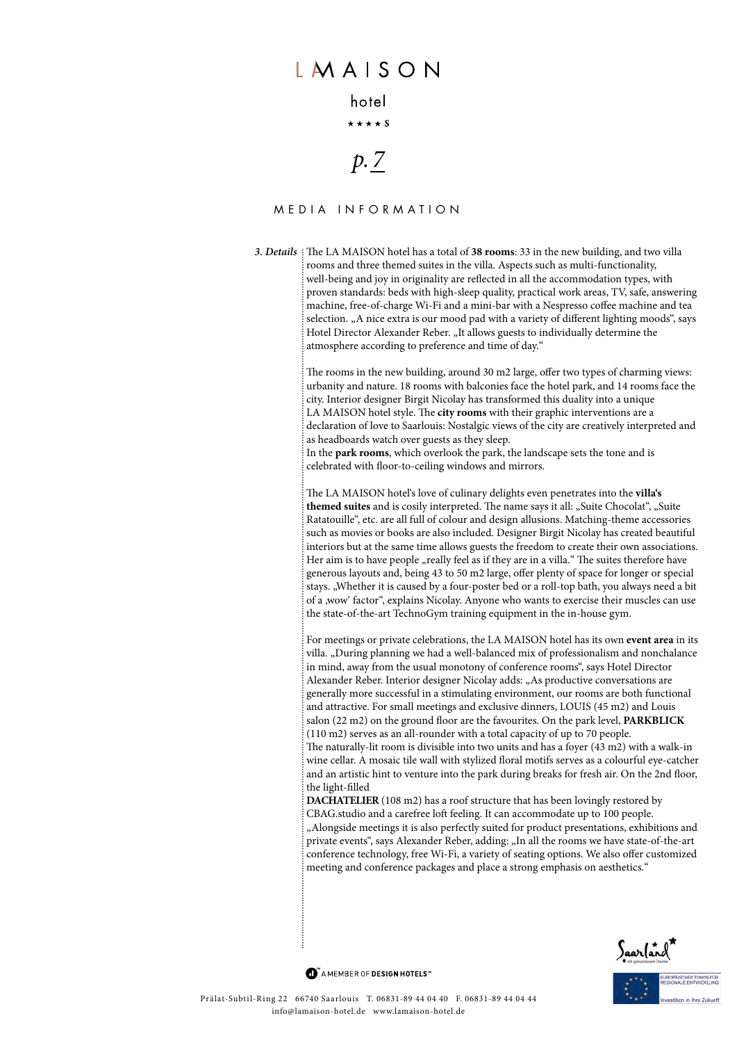#### hotel

 $\star \star \star \star$  S

# *p. 7*

### Media infor m ation

*3. Details* The LA MAISON hotel has a total of **38 rooms**: 33 in the new building, and two villa rooms and three themed suites in the villa. Aspects such as multi-functionality, well-being and joy in originality are reflected in all the accommodation types, with proven standards: beds with high-sleep quality, practical work areas, TV, safe, answering machine, free-of-charge Wi-Fi and a mini-bar with a Nespresso coffee machine and tea selection. "A nice extra is our mood pad with a variety of different lighting moods", says Hotel Director Alexander Reber. "It allows guests to individually determine the atmosphere according to preference and time of day."

> The rooms in the new building, around 30 m2 large, offer two types of charming views: urbanity and nature. 18 rooms with balconies face the hotel park, and 14 rooms face the city. Interior designer Birgit Nicolay has transformed this duality into a unique LA MAISON hotel style. The **city rooms** with their graphic interventions are a declaration of love to Saarlouis: Nostalgic views of the city are creatively interpreted and as headboards watch over guests as they sleep.

In the **park rooms**, which overlook the park, the landscape sets the tone and is celebrated with floor-to-ceiling windows and mirrors.

The LA MAISON hotel's love of culinary delights even penetrates into the **villa's**  themed suites and is cosily interpreted. The name says it all: "Suite Chocolat", "Suite Ratatouille", etc. are all full of colour and design allusions. Matching-theme accessories such as movies or books are also included. Designer Birgit Nicolay has created beautiful interiors but at the same time allows guests the freedom to create their own associations. Her aim is to have people "really feel as if they are in a villa." The suites therefore have generous layouts and, being 43 to 50 m2 large, offer plenty of space for longer or special stays. "Whether it is caused by a four-poster bed or a roll-top bath, you always need a bit of a ,wow' factor", explains Nicolay. Anyone who wants to exercise their muscles can use the state-of-the-art TechnoGym training equipment in the in-house gym.

For meetings or private celebrations, the LA MAISON hotel has its own **event area** in its villa. "During planning we had a well-balanced mix of professionalism and nonchalance in mind, away from the usual monotony of conference rooms", says Hotel Director Alexander Reber. Interior designer Nicolay adds: "As productive conversations are generally more successful in a stimulating environment, our rooms are both functional and attractive. For small meetings and exclusive dinners, LOUIS (45 m2) and Louis salon (22 m2) on the ground floor are the favourites. On the park level, **PARKBLIC K** (110 m2) serves as an all-rounder with a total capacity of up to 70 people. The naturally-lit room is divisible into two units and has a foyer (43 m2) with a walk-in wine cellar. A mosaic tile wall with stylized floral motifs serves as a colourful eye-catcher and an artistic hint to venture into the park during breaks for fresh air. On the 2nd floor, the light-filled

**DAC HATELIE R** (108 m2) has a roof structure that has been lovingly restored by CBAG.studio and a carefree loft feeling. It can accommodate up to 100 people. "Alongside meetings it is also perfectly suited for product presentations, exhibitions and private events", says Alexander Reber, adding: "In all the rooms we have state-of-the-art conference technology, free Wi-Fi, a variety of seating options. We also offer customized meeting and conference packages and place a strong emphasis on aesthetics."

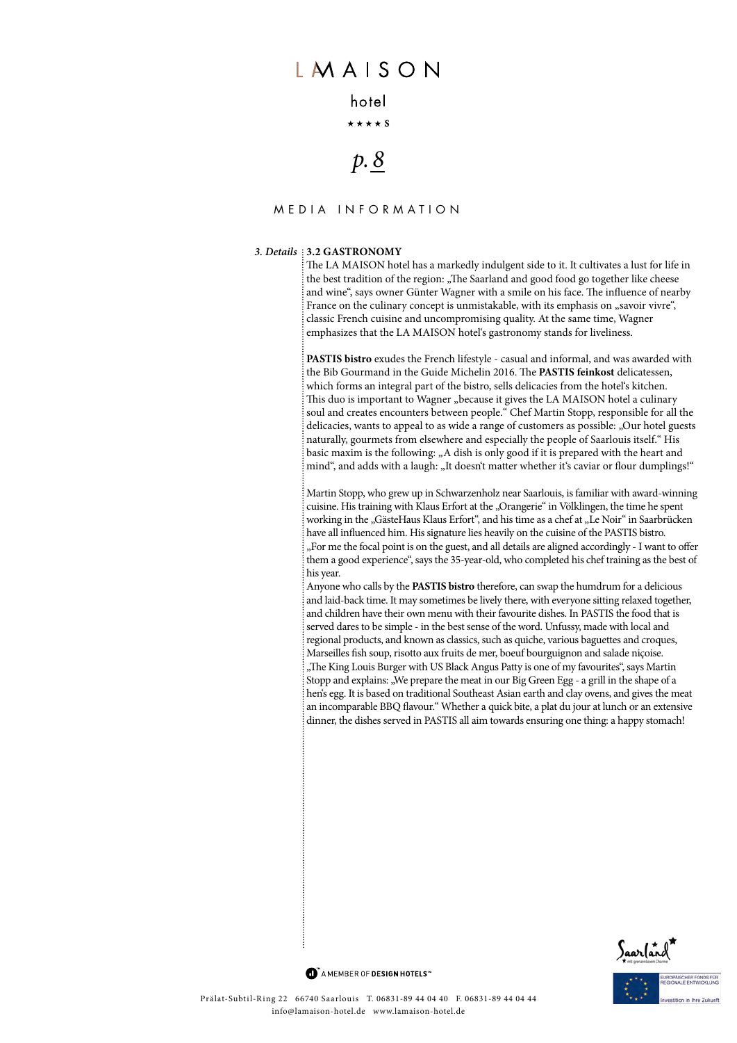### hotel

 $\star \star \star \star$  S

# *p. 8*

### Media infor m ation

#### *3. Details* **3.2 Gastronomy**

The LA MAISON hotel has a markedly indulgent side to it. It cultivates a lust for life in the best tradition of the region: "The Saarland and good food go together like cheese and wine", says owner Günter Wagner with a smile on his face. The influence of nearby France on the culinary concept is unmistakable, with its emphasis on "savoir vivre", classic French cuisine and uncompromising quality. At the same time, Wagner emphasizes that the LA MAISON hotel's gastronomy stands for liveliness.

**PASTIS bistro** exudes the French lifestyle - casual and informal, and was awarded with the Bib Gourmand in the Guide Michelin 2016. The **PASTIS feinkost** delicatessen, which forms an integral part of the bistro, sells delicacies from the hotel's kitchen. This duo is important to Wagner "because it gives the LA MAISON hotel a culinary soul and creates encounters between people." Chef Martin Stopp, responsible for all the delicacies, wants to appeal to as wide a range of customers as possible: "Our hotel guests naturally, gourmets from elsewhere and especially the people of Saarlouis itself." His basic maxim is the following: "A dish is only good if it is prepared with the heart and mind", and adds with a laugh: "It doesn't matter whether it's caviar or flour dumplings!"

Martin Stopp, who grew up in Schwarzenholz near Saarlouis, is familiar with award-winning cuisine. His training with Klaus Erfort at the "Orangerie" in Völklingen, the time he spent working in the "GästeHaus Klaus Erfort", and his time as a chef at "Le Noir" in Saarbrücken have all influenced him. His signature lies heavily on the cuisine of the PASTIS bistro. "For me the focal point is on the guest, and all details are aligned accordingly - I want to offer them a good experience", says the 35-year-old, who completed his chef training as the best of his year.

Anyone who calls by the **PASTIS bistro** therefore, can swap the humdrum for a delicious and laid-back time. It may sometimes be lively there, with everyone sitting relaxed together, and children have their own menu with their favourite dishes. In PASTIS the food that is served dares to be simple - in the best sense of the word. Unfussy, made with local and regional products, and known as classics, such as quiche, various baguettes and croques, Marseilles fish soup, risotto aux fruits de mer, boeuf bourguignon and salade niçoise. "The King Louis Burger with US Black Angus Patty is one of my favourites", says Martin Stopp and explains: "We prepare the meat in our Big Green Egg - a grill in the shape of a hen's egg. It is based on traditional Southeast Asian earth and clay ovens, and gives the meat an incomparable BBQ flavour." Whether a quick bite, a plat du jour at lunch or an extensive dinner, the dishes served in PASTIS all aim towards ensuring one thing: a happy stomach!

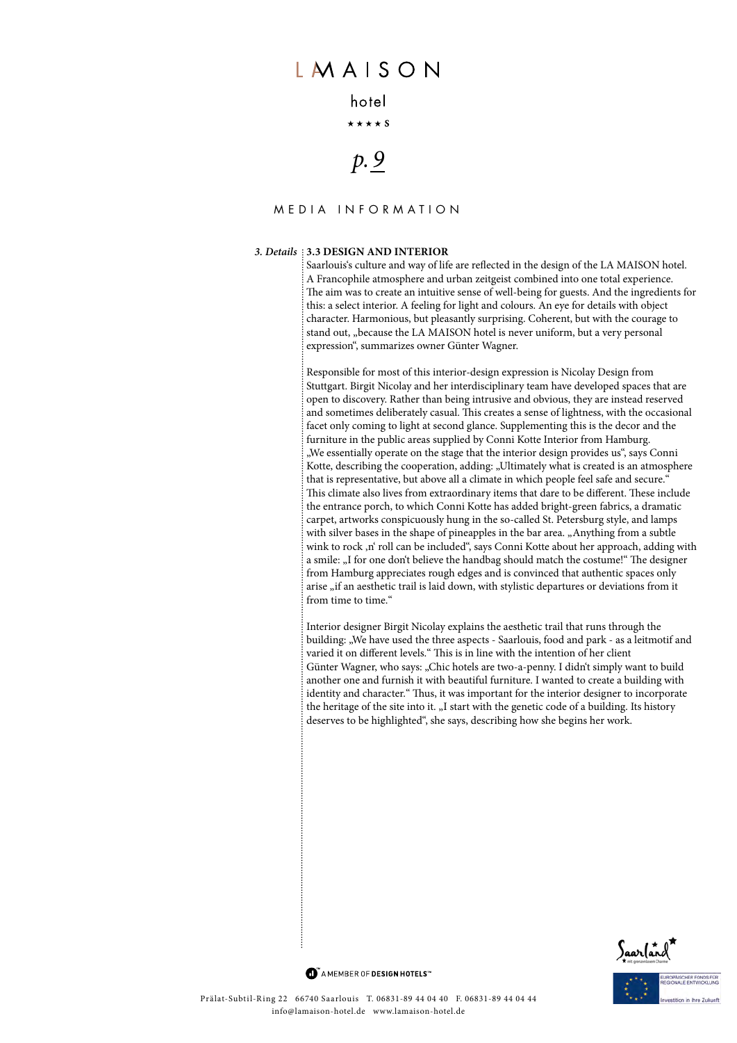### hotel

 $\star \star \star \star$  S

# *p. 9*

### Media infor m ation

#### *3. Details* **3.3 Design and interior**

Saarlouis's culture and way of life are reflected in the design of the LA MAISON hotel. A Francophile atmosphere and urban zeitgeist combined into one total experience. The aim was to create an intuitive sense of well-being for guests. And the ingredients for this: a select interior. A feeling for light and colours. An eye for details with object character. Harmonious, but pleasantly surprising. Coherent, but with the courage to stand out, "because the LA MAISON hotel is never uniform, but a very personal expression", summarizes owner Günter Wagner.

Responsible for most of this interior-design expression is Nicolay Design from Stuttgart. Birgit Nicolay and her interdisciplinary team have developed spaces that are open to discovery. Rather than being intrusive and obvious, they are instead reserved and sometimes deliberately casual. This creates a sense of lightness, with the occasional facet only coming to light at second glance. Supplementing this is the decor and the furniture in the public areas supplied by Conni Kotte Interior from Hamburg. "We essentially operate on the stage that the interior design provides us", says Conni Kotte, describing the cooperation, adding: "Ultimately what is created is an atmosphere that is representative, but above all a climate in which people feel safe and secure.' This climate also lives from extraordinary items that dare to be different. These include the entrance porch, to which Conni Kotte has added bright-green fabrics, a dramatic carpet, artworks conspicuously hung in the so-called St. Petersburg style, and lamps with silver bases in the shape of pineapples in the bar area. "Anything from a subtle wink to rock ,n' roll can be included", says Conni Kotte about her approach, adding with a smile: "I for one don't believe the handbag should match the costume!" The designer from Hamburg appreciates rough edges and is convinced that authentic spaces only arise "if an aesthetic trail is laid down, with stylistic departures or deviations from it from time to time."

Interior designer Birgit Nicolay explains the aesthetic trail that runs through the building: "We have used the three aspects - Saarlouis, food and park - as a leitmotif and varied it on different levels." This is in line with the intention of her client Günter Wagner, who says: "Chic hotels are two-a-penny. I didn't simply want to build another one and furnish it with beautiful furniture. I wanted to create a building with identity and character." Thus, it was important for the interior designer to incorporate the heritage of the site into it. "I start with the genetic code of a building. Its history deserves to be highlighted", she says, describing how she begins her work.

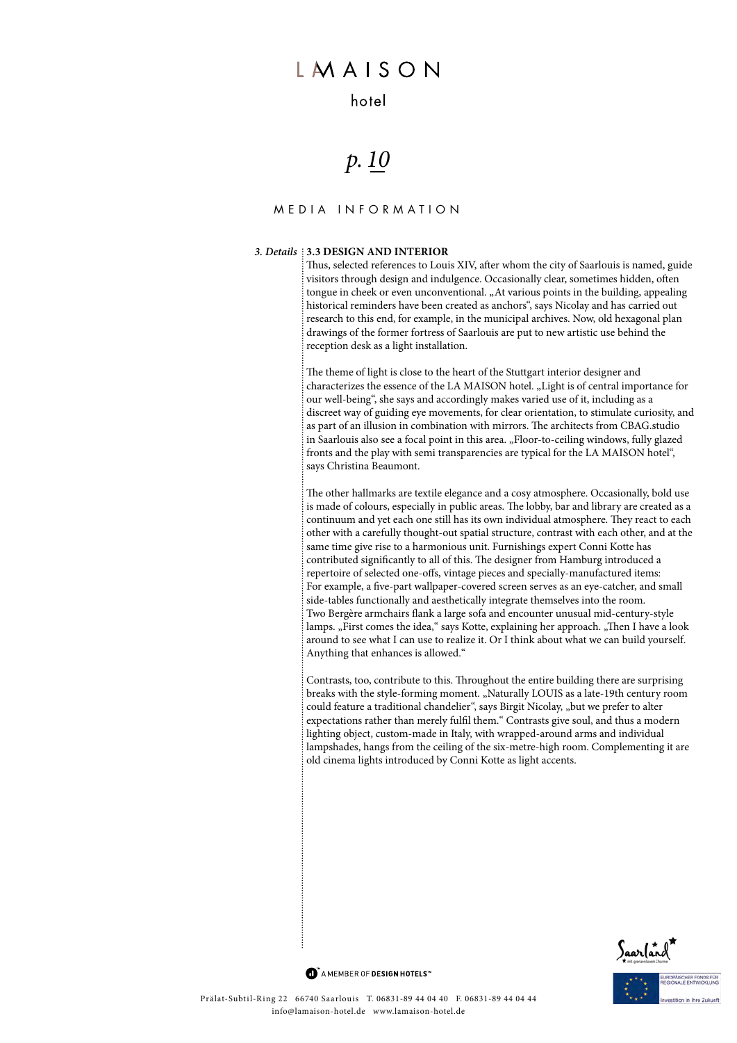### hotel

# *p. 10*

### Media infor m ation

#### *3. Details* **3.3 Design and interior**

Thus, selected references to Louis XIV, after whom the city of Saarlouis is named, guide visitors through design and indulgence. Occasionally clear, sometimes hidden, often tongue in cheek or even unconventional. "At various points in the building, appealing historical reminders have been created as anchors", says Nicolay and has carried out research to this end, for example, in the municipal archives. Now, old hexagonal plan drawings of the former fortress of Saarlouis are put to new artistic use behind the reception desk as a light installation.

The theme of light is close to the heart of the Stuttgart interior designer and characterizes the essence of the LA MAISON hotel. "Light is of central importance for our well-being", she says and accordingly makes varied use of it, including as a discreet way of guiding eye movements, for clear orientation, to stimulate curiosity, and as part of an illusion in combination with mirrors. The architects from CBAG.studio in Saarlouis also see a focal point in this area. "Floor-to-ceiling windows, fully glazed fronts and the play with semi transparencies are typical for the LA MAISON hotel", says Christina Beaumont.

The other hallmarks are textile elegance and a cosy atmosphere. Occasionally, bold use is made of colours, especially in public areas. The lobby, bar and library are created as a continuum and yet each one still has its own individual atmosphere. They react to each other with a carefully thought-out spatial structure, contrast with each other, and at the same time give rise to a harmonious unit. Furnishings expert Conni Kotte has contributed significantly to all of this. The designer from Hamburg introduced a repertoire of selected one-offs, vintage pieces and specially-manufactured items: For example, a five-part wallpaper-covered screen serves as an eye-catcher, and small side-tables functionally and aesthetically integrate themselves into the room. Two Bergère armchairs flank a large sofa and encounter unusual mid-century-style lamps. "First comes the idea," says Kotte, explaining her approach. "Then I have a look around to see what I can use to realize it. Or I think about what we can build yourself. Anything that enhances is allowed."

Contrasts, too, contribute to this. Throughout the entire building there are surprising breaks with the style-forming moment. "Naturally LOUIS as a late-19th century room could feature a traditional chandelier", says Birgit Nicolay, "but we prefer to alter expectations rather than merely fulfil them." Contrasts give soul, and thus a modern lighting object, custom-made in Italy, with wrapped-around arms and individual lampshades, hangs from the ceiling of the six-metre-high room. Complementing it are old cinema lights introduced by Conni Kotte as light accents.

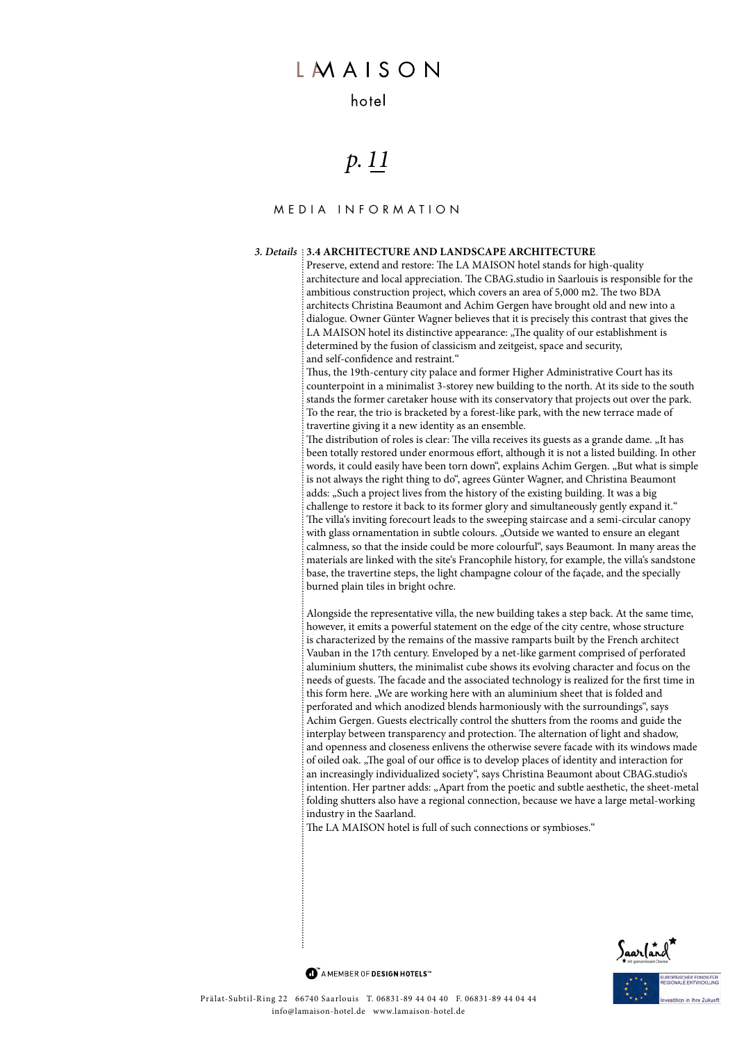### hotel

# *p. 11*

#### Media infor m ation

#### *3. Details* **3.4 Architecture and landscape architecture**

Preserve, extend and restore: The LA MAISON hotel stands for high-quality architecture and local appreciation. The CBAG.studio in Saarlouis is responsible for the ambitious construction project, which covers an area of 5,000 m2. The two BDA architects Christina Beaumont and Achim Gergen have brought old and new into a dialogue. Owner Günter Wagner believes that it is precisely this contrast that gives the LA MAISON hotel its distinctive appearance: "The quality of our establishment is determined by the fusion of classicism and zeitgeist, space and security, and self-confidence and restraint."

Thus, the 19th-century city palace and former Higher Administrative Court has its counterpoint in a minimalist 3-storey new building to the north. At its side to the south stands the former caretaker house with its conservatory that projects out over the park. To the rear, the trio is bracketed by a forest-like park, with the new terrace made of travertine giving it a new identity as an ensemble.

The distribution of roles is clear: The villa receives its guests as a grande dame. "It has been totally restored under enormous effort, although it is not a listed building. In other words, it could easily have been torn down", explains Achim Gergen. "But what is simple is not always the right thing to do", agrees Günter Wagner, and Christina Beaumont adds: "Such a project lives from the history of the existing building. It was a big challenge to restore it back to its former glory and simultaneously gently expand it." The villa's inviting forecourt leads to the sweeping staircase and a semi-circular canopy with glass ornamentation in subtle colours. "Outside we wanted to ensure an elegant calmness, so that the inside could be more colourful", says Beaumont. In many areas the materials are linked with the site's Francophile history, for example, the villa's sandstone base, the travertine steps, the light champagne colour of the façade, and the specially burned plain tiles in bright ochre.

Alongside the representative villa, the new building takes a step back. At the same time, however, it emits a powerful statement on the edge of the city centre, whose structure is characterized by the remains of the massive ramparts built by the French architect Vauban in the 17th century. Enveloped by a net-like garment comprised of perforated aluminium shutters, the minimalist cube shows its evolving character and focus on the needs of guests. The facade and the associated technology is realized for the first time in this form here. "We are working here with an aluminium sheet that is folded and perforated and which anodized blends harmoniously with the surroundings", says Achim Gergen. Guests electrically control the shutters from the rooms and guide the interplay between transparency and protection. The alternation of light and shadow, and openness and closeness enlivens the otherwise severe facade with its windows made of oiled oak. "The goal of our office is to develop places of identity and interaction for an increasingly individualized society", says Christina Beaumont about CBAG.studio's intention. Her partner adds: "Apart from the poetic and subtle aesthetic, the sheet-metal folding shutters also have a regional connection, because we have a large metal-working industry in the Saarland.

The LA MAISON hotel is full of such connections or symbioses."

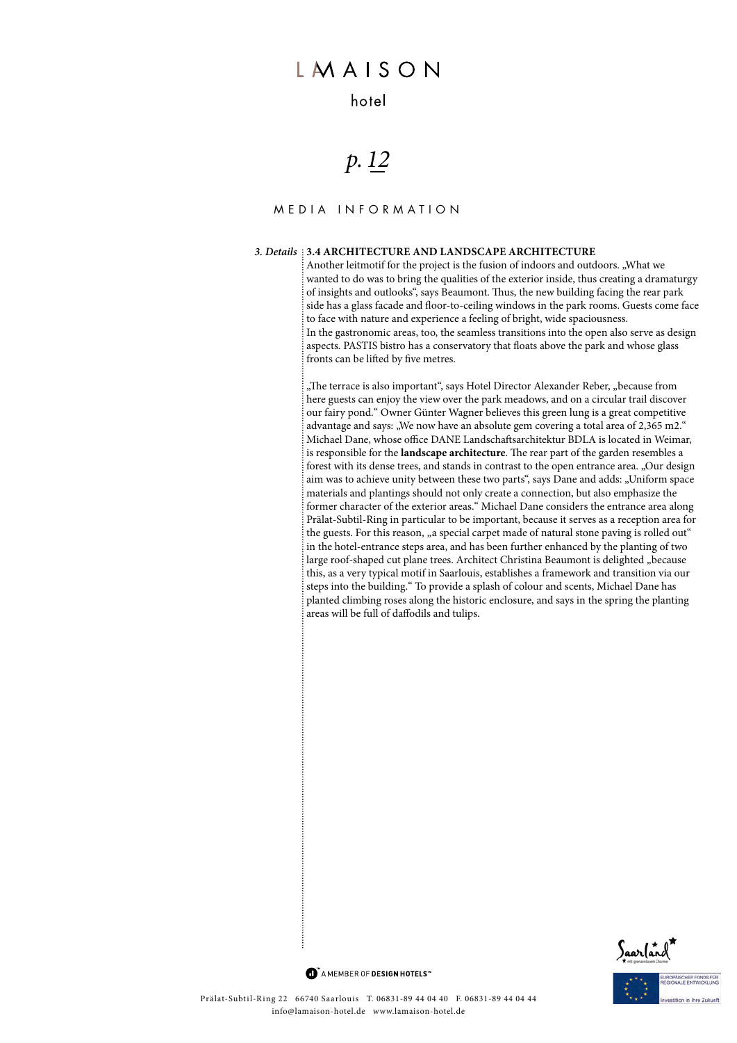### hotel

# *p. 12*

### Media infor m ation

#### *3. Details* **3.4 Architecture and landscape architecture**

Another leitmotif for the project is the fusion of indoors and outdoors. "What we wanted to do was to bring the qualities of the exterior inside, thus creating a dramaturgy of insights and outlooks", says Beaumont. Thus, the new building facing the rear park side has a glass facade and floor-to-ceiling windows in the park rooms. Guests come face to face with nature and experience a feeling of bright, wide spaciousness. In the gastronomic areas, too, the seamless transitions into the open also serve as design aspects. PASTIS bistro has a conservatory that floats above the park and whose glass fronts can be lifted by five metres.

"The terrace is also important", says Hotel Director Alexander Reber, "because from here guests can enjoy the view over the park meadows, and on a circular trail discover our fairy pond." Owner Günter Wagner believes this green lung is a great competitive advantage and says: "We now have an absolute gem covering a total area of 2,365 m2." Michael Dane, whose office DANE Landschaftsarchitektur BDLA is located in Weimar, is responsible for the **landscape architecture**. The rear part of the garden resembles a forest with its dense trees, and stands in contrast to the open entrance area. "Our design aim was to achieve unity between these two parts", says Dane and adds: "Uniform space materials and plantings should not only create a connection, but also emphasize the former character of the exterior areas." Michael Dane considers the entrance area along Prälat-Subtil-Ring in particular to be important, because it serves as a reception area for the guests. For this reason, "a special carpet made of natural stone paving is rolled out" in the hotel-entrance steps area, and has been further enhanced by the planting of two large roof-shaped cut plane trees. Architect Christina Beaumont is delighted "because this, as a very typical motif in Saarlouis, establishes a framework and transition via our steps into the building." To provide a splash of colour and scents, Michael Dane has planted climbing roses along the historic enclosure, and says in the spring the planting areas will be full of daffodils and tulips.



MAMEMBER OF DESIGN HOTELS<sup>"</sup>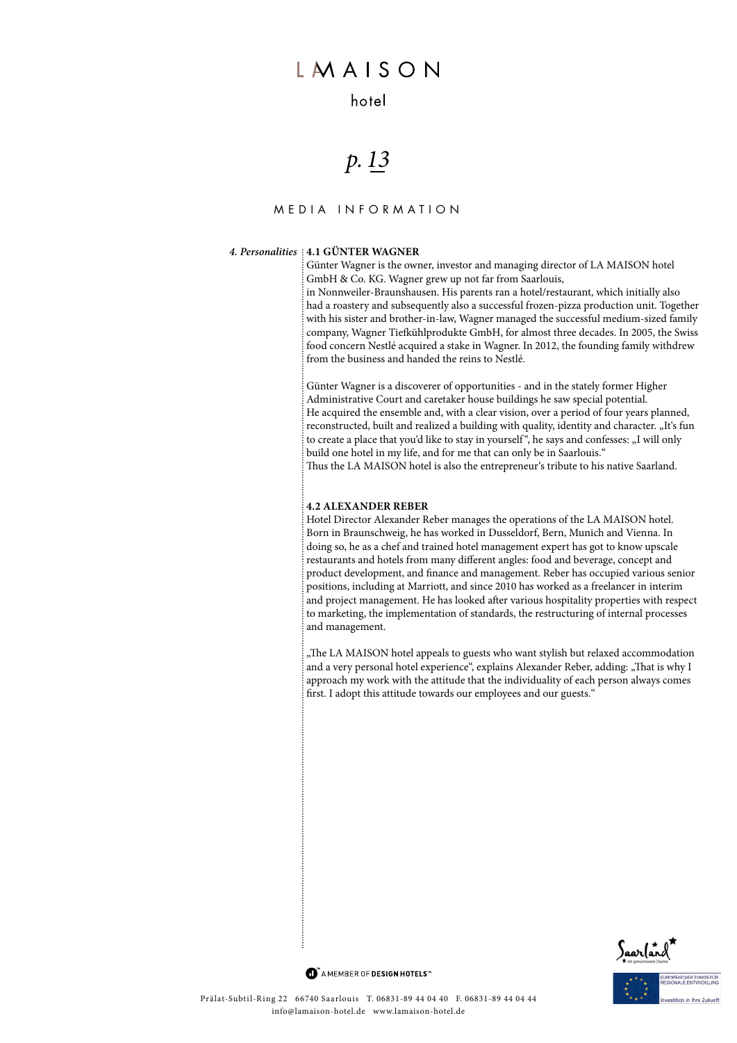### hotel

## *p. 13*

### Media infor m ation

#### *4. Personalities* **4.1 günter wagner**

Günter Wagner is the owner, investor and managing director of LA MAISON hotel GmbH & Co. KG. Wagner grew up not far from Saarlouis,

in Nonnweiler-Braunshausen. His parents ran a hotel/restaurant, which initially also had a roastery and subsequently also a successful frozen-pizza production unit. Together with his sister and brother-in-law, Wagner managed the successful medium-sized family company, Wagner Tiefkühlprodukte GmbH, for almost three decades. In 2005, the Swiss food concern Nestlé acquired a stake in Wagner. In 2012, the founding family withdrew from the business and handed the reins to Nestlé.

Günter Wagner is a discoverer of opportunities - and in the stately former Higher Administrative Court and caretaker house buildings he saw special potential. He acquired the ensemble and, with a clear vision, over a period of four years planned, reconstructed, built and realized a building with quality, identity and character. "It's fun to create a place that you'd like to stay in yourself", he says and confesses: "I will only build one hotel in my life, and for me that can only be in Saarlouis." Thus the LA MAISON hotel is also the entrepreneur's tribute to his native Saarland.

#### **4.2 Alexander Reber**

Hotel Director Alexander Reber manages the operations of the LA MAISON hotel. Born in Braunschweig, he has worked in Dusseldorf, Bern, Munich and Vienna. In doing so, he as a chef and trained hotel management expert has got to know upscale restaurants and hotels from many different angles: food and beverage, concept and product development, and finance and management. Reber has occupied various senior positions, including at Marriott, and since 2010 has worked as a freelancer in interim and project management. He has looked after various hospitality properties with respect to marketing, the implementation of standards, the restructuring of internal processes and management.

"The LA MAISON hotel appeals to guests who want stylish but relaxed accommodation and a very personal hotel experience", explains Alexander Reber, adding: "That is why I approach my work with the attitude that the individuality of each person always comes first. I adopt this attitude towards our employees and our guests."

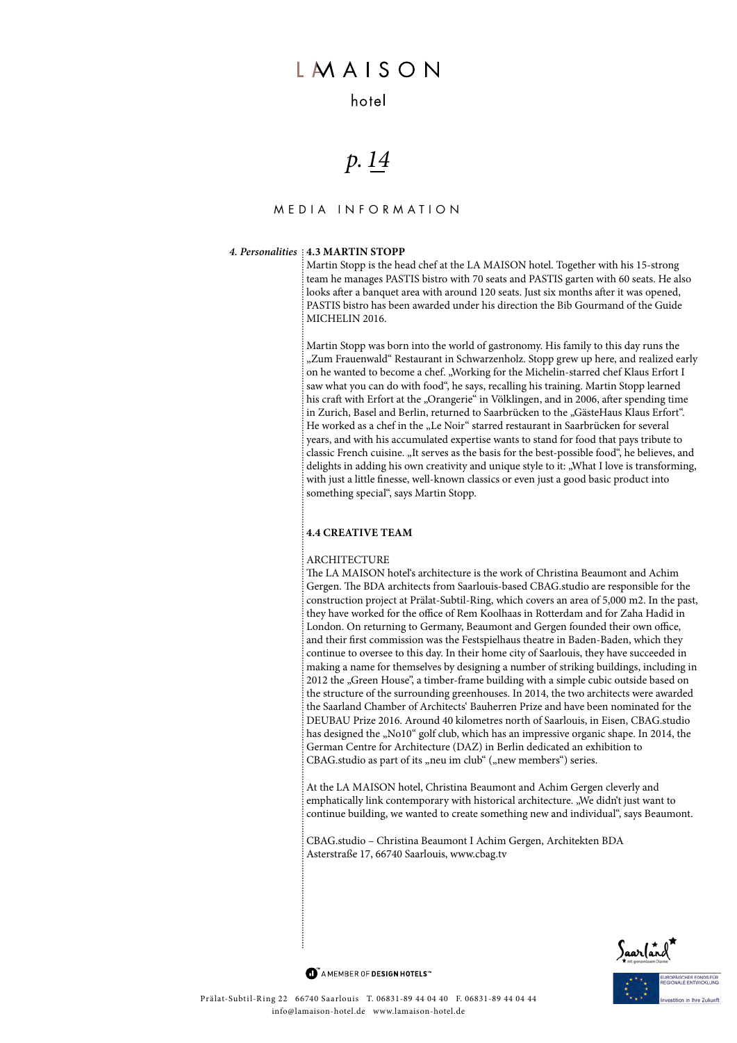### hotel

## *p. 14*

### Media infor m ation

#### *4. Personalities* **4.3 maRtin StoPP**

Martin Stopp is the head chef at the LA MAISON hotel. Together with his 15-strong team he manages PASTIS bistro with 70 seats and LOUIS restaurant - awarded with 2 MICHELIN stars in the MICHELIN 2022 Germany guide. He also looks after a banquet area with around 120 seats. Just six months after it was opened, PASTIS bistro has been awarded under his direction the Bib Gourmand of the Guide MICHELIN 2016.

Martin Stopp was born into the world of gastronomy. His family to this day runs the "Zum Frauenwald" Restaurant in Schwarzenholz. Stopp grew up here, and realized early on he wanted to become a chef. "Working for the Michelin-starred chef Klaus Erfort I saw what you can do with food", he says, recalling his training. Martin Stopp learned his craft with Erfort at the "Orangerie" in Völklingen, and in 2006, after spending time in Zurich, Basel and Berlin, returned to Saarbrücken to the "GästeHaus Klaus Erfort". He worked as a chef in the "Le Noir" starred restaurant in Saarbrücken for several years, and with his accumulated expertise wants to stand for food that pays tribute to classic French cuisine. "It serves as the basis for the best-possible food", he believes, and delights in adding his own creativity and unique style to it: "What I love is transforming, with just a little finesse, well-known classics or even just a good basic product into something special", says Martin Stopp.

#### **4.4 cReative team**

#### ARCHITECTURE

The LA MAISON hotel's architecture is the work of Christina Beaumont and Achim Gergen. The BDA architects from Saarlouis-based CBAG.studio are responsible for the construction project at Prälat-Subtil-Ring, which covers an area of 5,000 m2. In the past, they have worked for the office of Rem Koolhaas in Rotterdam and for Zaha Hadid in London. On returning to Germany, Beaumont and Gergen founded their own office, and their first commission was the Festspielhaus theatre in Baden-Baden, which they continue to oversee to this day. In their home city of Saarlouis, they have succeeded in making a name for themselves by designing a number of striking buildings, including in 2012 the "Green House", a timber-frame building with a simple cubic outside based on the structure of the surrounding greenhouses. In 2014, the two architects were awarded the Saarland Chamber of Architects' Bauherren Prize and have been nominated for the DEUBAU Prize 2016. Around 40 kilometres north of Saarlouis, in Eisen, CBAG.studio has designed the "No10" golf club, which has an impressive organic shape. In 2014, the German Centre for Architecture (DAZ) in Berlin dedicated an exhibition to

CBAG.studio as part of its "neu im club" ("new members") series.

At the LA MAISON hotel, Christina Beaumont and Achim Gergen cleverly and emphatically link contemporary with historical architecture. "We didn't just want to continue building, we wanted to create something new and individual", says Beaumont.

CBAG.studio – Christina Beaumont I Achim Gergen, Architekten BDA Asterstraße 17, 66740 Saarlouis, www.cbag.tv